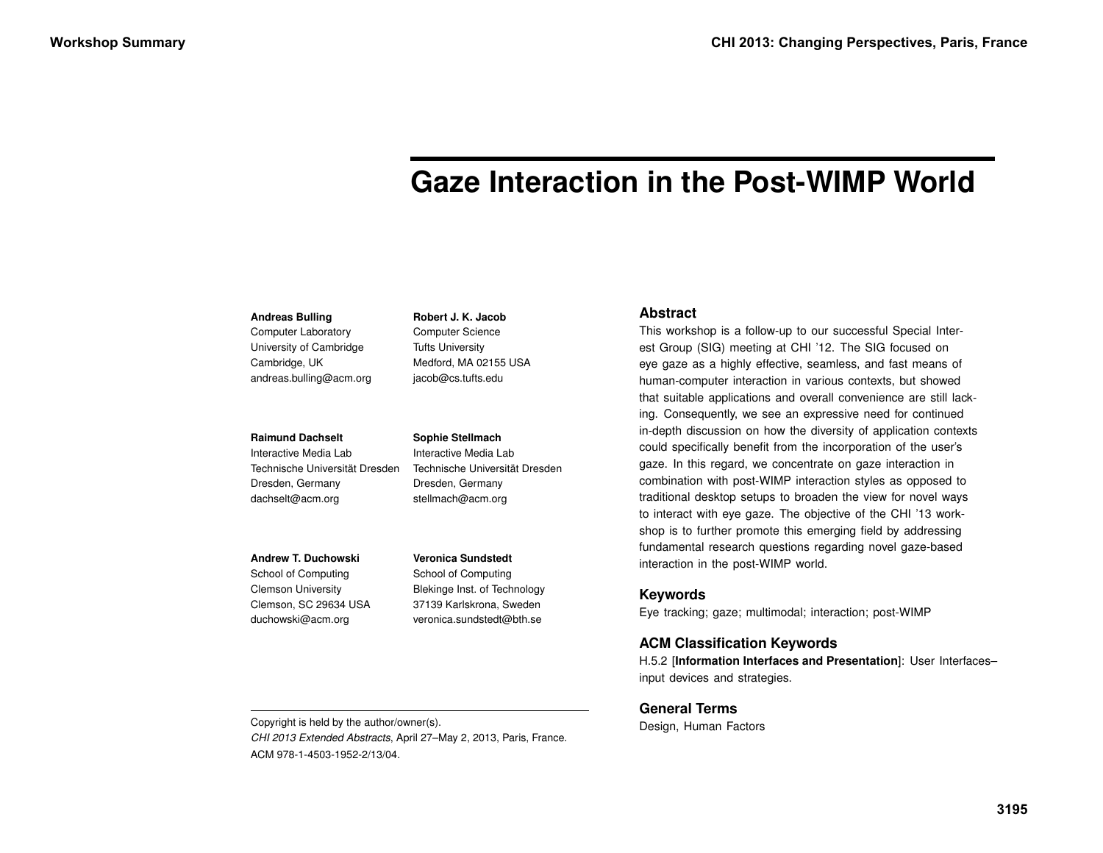# **Gaze Interaction in the Post-WIMP World**

#### **Andreas Bulling**

Computer Laboratory University of Cambridge Cambridge, UK andreas.bulling@acm.org

#### **Raimund Dachselt**

Interactive Media Lab Technische Universität Dresden Dresden, Germany dachselt@acm.org

**Sophie Stellmach** Interactive Media Lab Technische Universität Dresden Dresden, Germany

stellmach@acm.org

**Robert J. K. Jacob** Computer Science Tufts University Medford, MA 02155 USA jacob@cs.tufts.edu

#### **Andrew T. Duchowski**

School of Computing Clemson University Clemson, SC 29634 USA duchowski@acm.org

**Veronica Sundstedt** School of Computing Blekinge Inst. of Technology

37139 Karlskrona, Sweden veronica.sundstedt@bth.se

#### **Abstract**

This workshop is a follow-up to our successful Special Interest Group (SIG) meeting at CHI '12. The SIG focused on eye gaze as a highly effective, seamless, and fast means of human-computer interaction in various contexts, but showed that suitable applications and overall convenience are still lacking. Consequently, we see an expressive need for continued in-depth discussion on how the diversity of application contexts could specifically benefit from the incorporation of the user's gaze. In this regard, we concentrate on gaze interaction in combination with post-WIMP interaction styles as opposed to traditional desktop setups to broaden the view for novel ways to interact with eye gaze. The objective of the CHI '13 workshop is to further promote this emerging field by addressing fundamental research questions regarding novel gaze-based interaction in the post-WIMP world.

## **Keywords**

Eye tracking; gaze; multimodal; interaction; post-WIMP

# **ACM Classification Keywords**

H.5.2 [**Information Interfaces and Presentation**]: User Interfaces– input devices and strategies.

**General Terms**

Design, Human Factors

Copyright is held by the author/owner(s). *CHI 2013 Extended Abstracts*, April 27–May 2, 2013, Paris, France. ACM 978-1-4503-1952-2/13/04.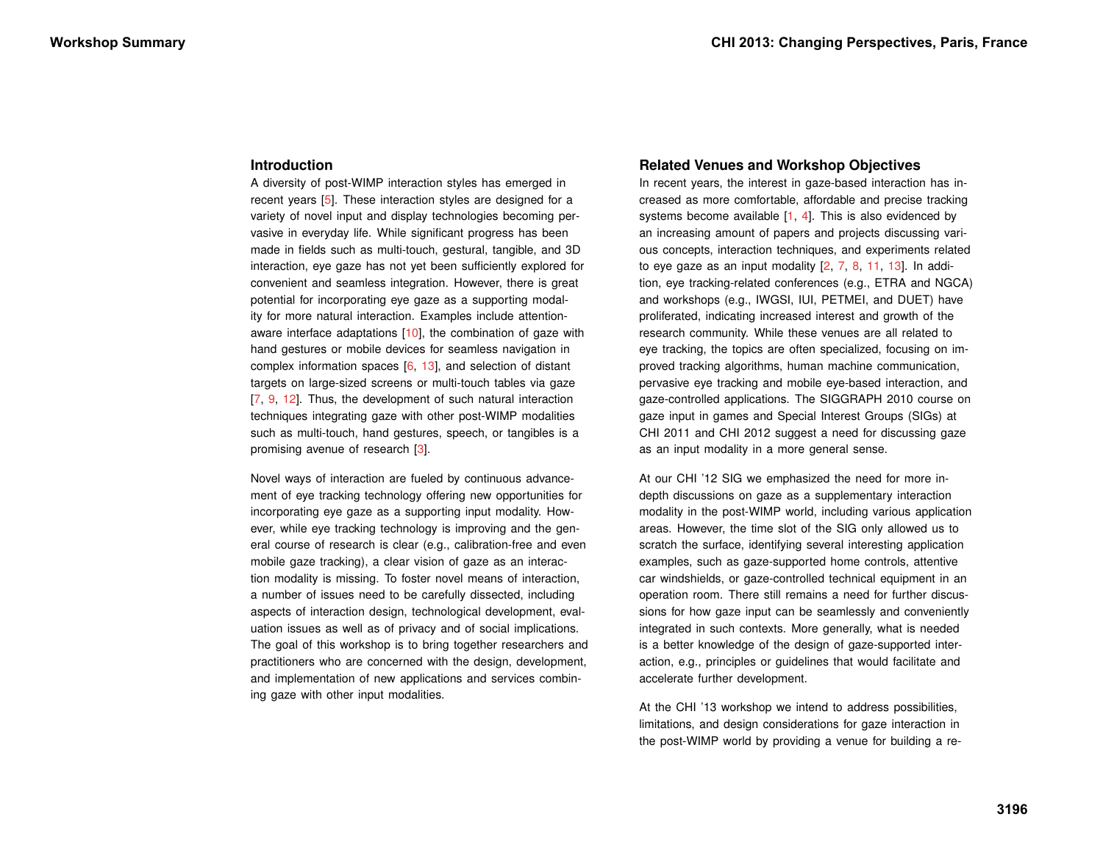#### **Introduction**

A diversity of post-WIMP interaction styles has emerged in recent years [\[5\]](#page-3-0). These interaction styles are designed for a variety of novel input and display technologies becoming pervasive in everyday life. While significant progress has been made in fields such as multi-touch, gestural, tangible, and 3D interaction, eye gaze has not yet been sufficiently explored for convenient and seamless integration. However, there is great potential for incorporating eye gaze as a supporting modality for more natural interaction. Examples include attentionaware interface adaptations [\[10\]](#page-3-0), the combination of gaze with hand gestures or mobile devices for seamless navigation in complex information spaces  $[6, 13]$  $[6, 13]$  $[6, 13]$ , and selection of distant targets on large-sized screens or multi-touch tables via gaze [\[7,](#page-3-0) [9,](#page-3-0) [12\]](#page-3-0). Thus, the development of such natural interaction techniques integrating gaze with other post-WIMP modalities such as multi-touch, hand gestures, speech, or tangibles is a promising avenue of research [\[3\]](#page-3-0).

Novel ways of interaction are fueled by continuous advancement of eye tracking technology offering new opportunities for incorporating eye gaze as a supporting input modality. However, while eye tracking technology is improving and the general course of research is clear (e.g., calibration-free and even mobile gaze tracking), a clear vision of gaze as an interaction modality is missing. To foster novel means of interaction, a number of issues need to be carefully dissected, including aspects of interaction design, technological development, evaluation issues as well as of privacy and of social implications. The goal of this workshop is to bring together researchers and practitioners who are concerned with the design, development, and implementation of new applications and services combining gaze with other input modalities.

### **Related Venues and Workshop Objectives**

In recent years, the interest in gaze-based interaction has increased as more comfortable, affordable and precise tracking systems become available [\[1,](#page-3-0) [4\]](#page-3-0). This is also evidenced by an increasing amount of papers and projects discussing various concepts, interaction techniques, and experiments related to eye gaze as an input modality [\[2,](#page-3-0) [7,](#page-3-0) [8,](#page-3-0) [11,](#page-3-0) [13\]](#page-3-0). In addition, eye tracking-related conferences (e.g., ETRA and NGCA) and workshops (e.g., IWGSI, IUI, PETMEI, and DUET) have proliferated, indicating increased interest and growth of the research community. While these venues are all related to eye tracking, the topics are often specialized, focusing on improved tracking algorithms, human machine communication, pervasive eye tracking and mobile eye-based interaction, and gaze-controlled applications. The SIGGRAPH 2010 course on gaze input in games and Special Interest Groups (SIGs) at CHI 2011 and CHI 2012 suggest a need for discussing gaze as an input modality in a more general sense.

At our CHI '12 SIG we emphasized the need for more indepth discussions on gaze as a supplementary interaction modality in the post-WIMP world, including various application areas. However, the time slot of the SIG only allowed us to scratch the surface, identifying several interesting application examples, such as gaze-supported home controls, attentive car windshields, or gaze-controlled technical equipment in an operation room. There still remains a need for further discussions for how gaze input can be seamlessly and conveniently integrated in such contexts. More generally, what is needed is a better knowledge of the design of gaze-supported interaction, e.g., principles or guidelines that would facilitate and accelerate further development.

At the CHI '13 workshop we intend to address possibilities, limitations, and design considerations for gaze interaction in the post-WIMP world by providing a venue for building a re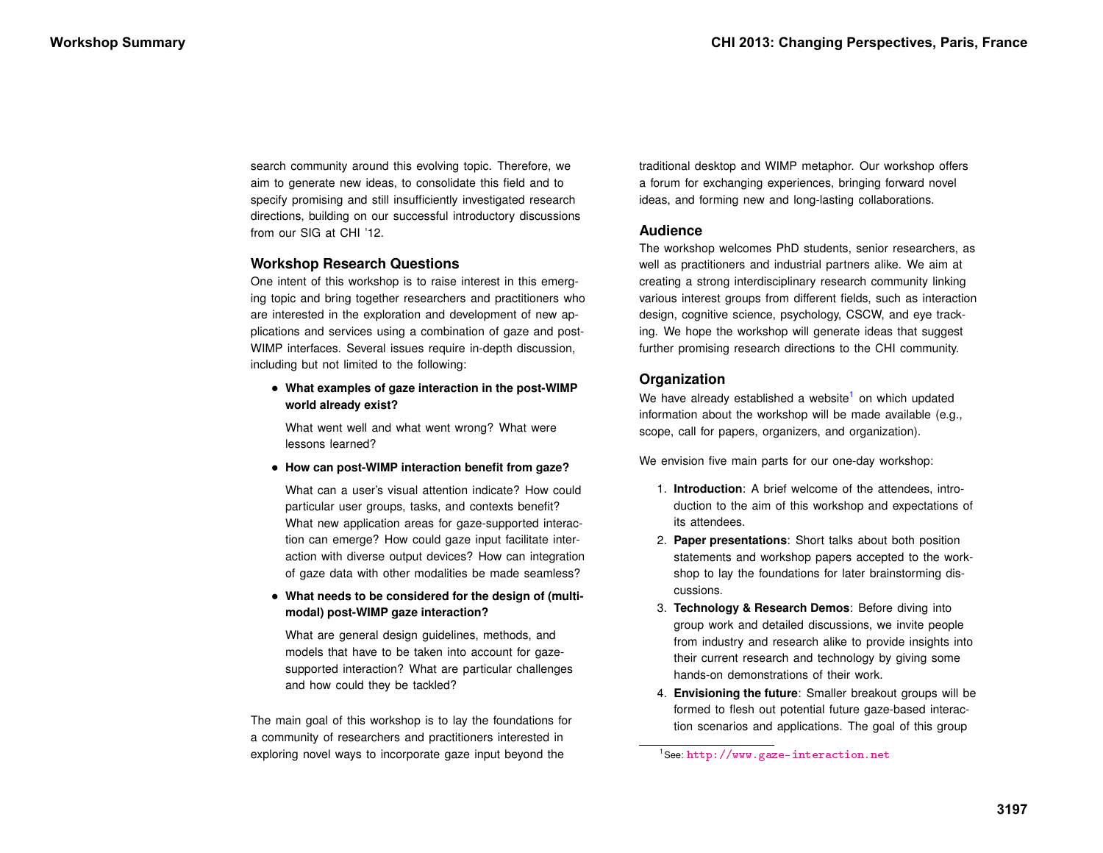search community around this evolving topic. Therefore, we aim to generate new ideas, to consolidate this field and to specify promising and still insufficiently investigated research directions, building on our successful introductory discussions from our SIG at CHI '12.

#### **Workshop Research Questions**

One intent of this workshop is to raise interest in this emerging topic and bring together researchers and practitioners who are interested in the exploration and development of new applications and services using a combination of gaze and post-WIMP interfaces. Several issues require in-depth discussion, including but not limited to the following:

• **What examples of gaze interaction in the post-WIMP world already exist?**

What went well and what went wrong? What were lessons learned?

• **How can post-WIMP interaction benefit from gaze?**

What can a user's visual attention indicate? How could particular user groups, tasks, and contexts benefit? What new application areas for gaze-supported interaction can emerge? How could gaze input facilitate interaction with diverse output devices? How can integration of gaze data with other modalities be made seamless?

• **What needs to be considered for the design of (multimodal) post-WIMP gaze interaction?**

What are general design guidelines, methods, and models that have to be taken into account for gazesupported interaction? What are particular challenges and how could they be tackled?

The main goal of this workshop is to lay the foundations for a community of researchers and practitioners interested in exploring novel ways to incorporate gaze input beyond the

traditional desktop and WIMP metaphor. Our workshop offers a forum for exchanging experiences, bringing forward novel ideas, and forming new and long-lasting collaborations.

#### **Audience**

The workshop welcomes PhD students, senior researchers, as well as practitioners and industrial partners alike. We aim at creating a strong interdisciplinary research community linking various interest groups from different fields, such as interaction design, cognitive science, psychology, CSCW, and eye tracking. We hope the workshop will generate ideas that suggest further promising research directions to the CHI community.

# **Organization**

We have already established a website<sup>1</sup> on which updated information about the workshop will be made available (e.g., scope, call for papers, organizers, and organization).

We envision five main parts for our one-day workshop:

- 1. **Introduction**: A brief welcome of the attendees, introduction to the aim of this workshop and expectations of its attendees.
- 2. **Paper presentations**: Short talks about both position statements and workshop papers accepted to the workshop to lay the foundations for later brainstorming discussions.
- 3. **Technology & Research Demos**: Before diving into group work and detailed discussions, we invite people from industry and research alike to provide insights into their current research and technology by giving some hands-on demonstrations of their work.
- 4. **Envisioning the future**: Smaller breakout groups will be formed to flesh out potential future gaze-based interaction scenarios and applications. The goal of this group

<sup>1</sup>See: <http://www.gaze-interaction.net>